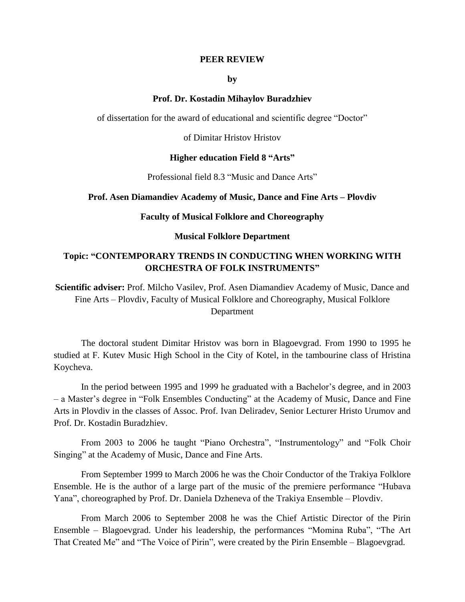### **PEER REVIEW**

### **by**

## **Prof. Dr. Kostadin Mihaylov Buradzhiev**

of dissertation for the award of educational and scientific degree "Doctor"

of Dimitar Hristov Hristov

## **Higher education Field 8 "Arts"**

Professional field 8.3 "Music and Dance Arts"

## **Prof. Asen Diamandiev Academy of Music, Dance and Fine Arts – Plovdiv**

### **Faculty of Musical Folklore and Choreography**

### **Musical Folklore Department**

# **Topic: "CONTEMPORARY TRENDS IN CONDUCTING WHEN WORKING WITH ORCHESTRA OF FOLK INSTRUMENTS"**

**Scientific adviser:** Prof. Milcho Vasilev, Prof. Asen Diamandiev Academy of Music, Dance and Fine Arts – Plovdiv, Faculty of Musical Folklore and Choreography, Musical Folklore Department

The doctoral student Dimitar Hristov was born in Blagoevgrad. From 1990 to 1995 he studied at F. Kutev Music High School in the City of Kotel, in the tambourine class of Hristina Koycheva.

In the period between 1995 and 1999 he graduated with a Bachelor's degree, and in 2003 – a Master's degree in "Folk Ensembles Conducting" at the Academy of Music, Dance and Fine Arts in Plovdiv in the classes of Assoc. Prof. Ivan Deliradev, Senior Lecturer Hristo Urumov and Prof. Dr. Kostadin Buradzhiev.

From 2003 to 2006 he taught "Piano Orchestra", "Instrumentology" and "Folk Choir Singing" at the Academy of Music, Dance and Fine Arts.

From September 1999 to March 2006 he was the Choir Conductor of the Trakiya Folklore Ensemble. He is the author of a large part of the music of the premiere performance "Hubava Yana", choreographed by Prof. Dr. Daniela Dzheneva of the Trakiya Ensemble – Plovdiv.

From March 2006 to September 2008 he was the Chief Artistic Director of the Pirin Ensemble – Blagoevgrad. Under his leadership, the performances "Momina Ruba", "The Art That Created Me" and "The Voice of Pirin", were created by the Pirin Ensemble – Blagoevgrad.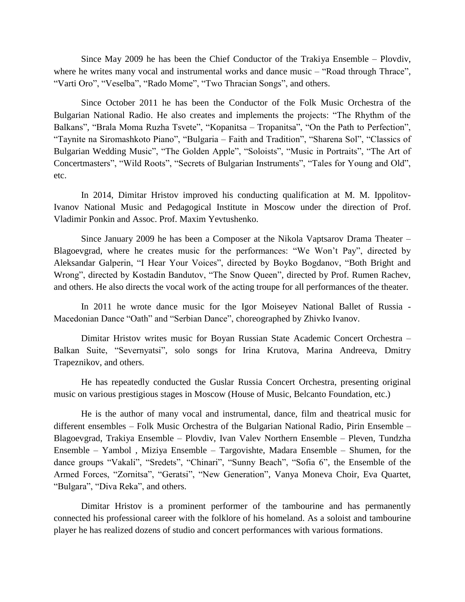Since May 2009 he has been the Chief Conductor of the Trakiya Ensemble – Plovdiv, where he writes many vocal and instrumental works and dance music – "Road through Thrace", "Varti Oro", "Veselba", "Rado Mome", "Two Thracian Songs", and others.

Since October 2011 he has been the Conductor of the Folk Music Orchestra of the Bulgarian National Radio. He also creates and implements the projects: "The Rhythm of the Balkans", "Brala Moma Ruzha Tsvete", "Kopanitsa – Tropanitsa", "On the Path to Perfection", "Taynite na Siromashkoto Piano", "Bulgaria – Faith and Tradition", "Sharena Sol", "Classics of Bulgarian Wedding Music", "The Golden Apple", "Soloists", "Music in Portraits", "The Art of Concertmasters", "Wild Roots", "Secrets of Bulgarian Instruments", "Tales for Young and Old", etc.

In 2014, Dimitar Hristov improved his conducting qualification at M. M. Ippolitov-Ivanov National Music and Pedagogical Institute in Moscow under the direction of Prof. Vladimir Ponkin and Assoc. Prof. Maxim Yevtushenko.

Since January 2009 he has been a Composer at the Nikola Vaptsarov Drama Theater – Blagoevgrad, where he creates music for the performances: "We Won't Pay", directed by Aleksandar Galperin, "I Hear Your Voices", directed by Boyko Bogdanov, "Both Bright and Wrong", directed by Kostadin Bandutov, "The Snow Queen", directed by Prof. Rumen Rachev, and others. He also directs the vocal work of the acting troupe for all performances of the theater.

In 2011 he wrote dance music for the Igor Moiseyev National Ballet of Russia - Macedonian Dance "Oath" and "Serbian Dance", choreographed by Zhivko Ivanov.

Dimitar Hristov writes music for Boyan Russian State Academic Concert Orchestra – Balkan Suite, "Severnyatsi", solo songs for Irina Krutova, Marina Andreeva, Dmitry Trapeznikov, and others.

He has repeatedly conducted the Guslar Russia Concert Orchestra, presenting original music on various prestigious stages in Moscow (House of Music, Belcanto Foundation, etc.)

He is the author of many vocal and instrumental, dance, film and theatrical music for different ensembles – Folk Music Orchestra of the Bulgarian National Radio, Pirin Ensemble – Blagoevgrad, Trakiya Ensemble – Plovdiv, Ivan Valev Northern Ensemble – Pleven, Tundzha Ensemble – Yambol , Miziya Ensemble – Targovishte, Madara Ensemble – Shumen, for the dance groups "Vakali", "Sredets", "Chinari", "Sunny Beach", "Sofia 6", the Ensemble of the Armed Forces, "Zornitsa", "Geratsi", "New Generation", Vanya Moneva Choir, Eva Quartet, "Bulgara", "Diva Reka", and others.

Dimitar Hristov is a prominent performer of the tambourine and has permanently connected his professional career with the folklore of his homeland. As a soloist and tambourine player he has realized dozens of studio and concert performances with various formations.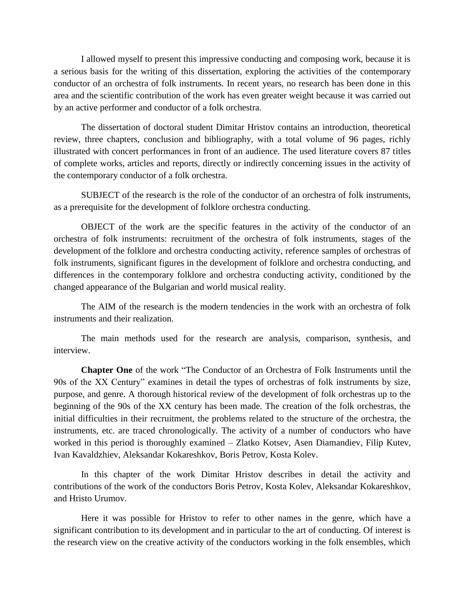I allowed myself to present this impressive conducting and composing work, because it is a serious basis for the writing of this dissertation, exploring the activities of the contemporary conductor of an orchestra of folk instruments. In recent years, no research has been done in this area and the scientific contribution of the work has even greater weight because it was carried out by an active performer and conductor of a folk orchestra.

The dissertation of doctoral student Dimitar Hristov contains an introduction, theoretical review, three chapters, conclusion and bibliography, with a total volume of 96 pages, richly illustrated with concert performances in front of an audience. The used literature covers 87 titles of complete works, articles and reports, directly or indirectly concerning issues in the activity of the contemporary conductor of a folk orchestra.

SUBJECT of the research is the role of the conductor of an orchestra of folk instruments, as a prerequisite for the development of folklore orchestra conducting.

OBJECT of the work are the specific features in the activity of the conductor of an orchestra of folk instruments: recruitment of the orchestra of folk instruments, stages of the development of the folklore and orchestra conducting activity, reference samples of orchestras of folk instruments, significant figures in the development of folklore and orchestra conducting, and differences in the contemporary folklore and orchestra conducting activity, conditioned by the changed appearance of the Bulgarian and world musical reality.

The AIM of the research is the modern tendencies in the work with an orchestra of folk instruments and their realization.

The main methods used for the research are analysis, comparison, synthesis, and interview.

**Chapter One** of the work "The Conductor of an Orchestra of Folk Instruments until the 90s of the XX Century" examines in detail the types of orchestras of folk instruments by size, purpose, and genre. A thorough historical review of the development of folk orchestras up to the beginning of the 90s of the XX century has been made. The creation of the folk orchestras, the initial difficulties in their recruitment, the problems related to the structure of the orchestra, the instruments, etc. are traced chronologically. The activity of a number of conductors who have worked in this period is thoroughly examined – Zlatko Kotsev, Asen Diamandiev, Filip Kutev, Ivan Kavaldzhiev, Aleksandar Kokareshkov, Boris Petrov, Kosta Kolev.

In this chapter of the work Dimitar Hristov describes in detail the activity and contributions of the work of the conductors Boris Petrov, Kosta Kolev, Aleksandar Kokareshkov, and Hristo Urumov.

Here it was possible for Hristov to refer to other names in the genre, which have a significant contribution to its development and in particular to the art of conducting. Of interest is the research view on the creative activity of the conductors working in the folk ensembles, which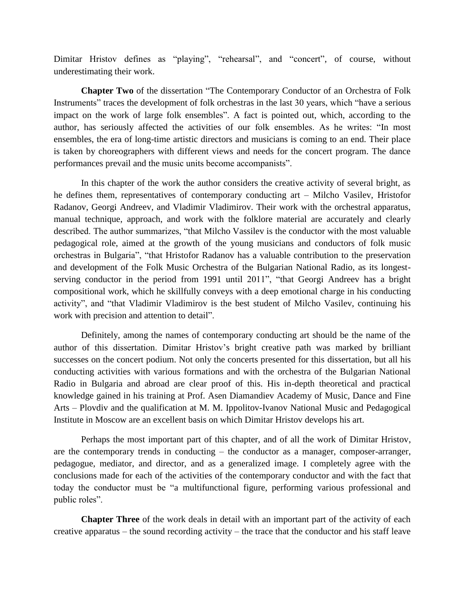Dimitar Hristov defines as "playing", "rehearsal", and "concert", of course, without underestimating their work.

**Chapter Two** of the dissertation "The Contemporary Conductor of an Orchestra of Folk Instruments" traces the development of folk orchestras in the last 30 years, which "have a serious impact on the work of large folk ensembles". A fact is pointed out, which, according to the author, has seriously affected the activities of our folk ensembles. As he writes: "In most ensembles, the era of long-time artistic directors and musicians is coming to an end. Their place is taken by choreographers with different views and needs for the concert program. The dance performances prevail and the music units become accompanists".

In this chapter of the work the author considers the creative activity of several bright, as he defines them, representatives of contemporary conducting art – Milcho Vasilev, Hristofor Radanov, Georgi Andreev, and Vladimir Vladimirov. Their work with the orchestral apparatus, manual technique, approach, and work with the folklore material are accurately and clearly described. The author summarizes, "that Milcho Vassilev is the conductor with the most valuable pedagogical role, aimed at the growth of the young musicians and conductors of folk music orchestras in Bulgaria", "that Hristofor Radanov has a valuable contribution to the preservation and development of the Folk Music Orchestra of the Bulgarian National Radio, as its longestserving conductor in the period from 1991 until 2011", "that Georgi Andreev has a bright compositional work, which he skillfully conveys with a deep emotional charge in his conducting activity", and "that Vladimir Vladimirov is the best student of Milcho Vasilev, continuing his work with precision and attention to detail".

Definitely, among the names of contemporary conducting art should be the name of the author of this dissertation. Dimitar Hristov's bright creative path was marked by brilliant successes on the concert podium. Not only the concerts presented for this dissertation, but all his conducting activities with various formations and with the orchestra of the Bulgarian National Radio in Bulgaria and abroad are clear proof of this. His in-depth theoretical and practical knowledge gained in his training at Prof. Asen Diamandiev Academy of Music, Dance and Fine Arts – Plovdiv and the qualification at M. M. Ippolitov-Ivanov National Music and Pedagogical Institute in Moscow are an excellent basis on which Dimitar Hristov develops his art.

Perhaps the most important part of this chapter, and of all the work of Dimitar Hristov, are the contemporary trends in conducting – the conductor as a manager, composer-arranger, pedagogue, mediator, and director, and as a generalized image. I completely agree with the conclusions made for each of the activities of the contemporary conductor and with the fact that today the conductor must be "a multifunctional figure, performing various professional and public roles".

**Chapter Three** of the work deals in detail with an important part of the activity of each creative apparatus – the sound recording activity – the trace that the conductor and his staff leave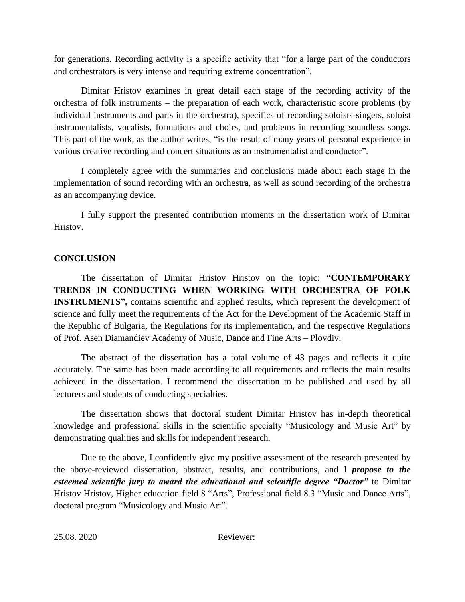for generations. Recording activity is a specific activity that "for a large part of the conductors and orchestrators is very intense and requiring extreme concentration".

Dimitar Hristov examines in great detail each stage of the recording activity of the orchestra of folk instruments – the preparation of each work, characteristic score problems (by individual instruments and parts in the orchestra), specifics of recording soloists-singers, soloist instrumentalists, vocalists, formations and choirs, and problems in recording soundless songs. This part of the work, as the author writes, "is the result of many years of personal experience in various creative recording and concert situations as an instrumentalist and conductor".

I completely agree with the summaries and conclusions made about each stage in the implementation of sound recording with an orchestra, as well as sound recording of the orchestra as an accompanying device.

I fully support the presented contribution moments in the dissertation work of Dimitar Hristov.

## **CONCLUSION**

The dissertation of Dimitar Hristov Hristov on the topic: **"CONTEMPORARY TRENDS IN CONDUCTING WHEN WORKING WITH ORCHESTRA OF FOLK INSTRUMENTS",** contains scientific and applied results, which represent the development of science and fully meet the requirements of the Act for the Development of the Academic Staff in the Republic of Bulgaria, the Regulations for its implementation, and the respective Regulations of Prof. Asen Diamandiev Academy of Music, Dance and Fine Arts – Plovdiv.

The abstract of the dissertation has a total volume of 43 pages and reflects it quite accurately. The same has been made according to all requirements and reflects the main results achieved in the dissertation. I recommend the dissertation to be published and used by all lecturers and students of conducting specialties.

The dissertation shows that doctoral student Dimitar Hristov has in-depth theoretical knowledge and professional skills in the scientific specialty "Musicology and Music Art" by demonstrating qualities and skills for independent research.

Due to the above, I confidently give my positive assessment of the research presented by the above-reviewed dissertation, abstract, results, and contributions, and I *propose to the esteemed scientific jury to award the educational and scientific degree "Doctor"* to Dimitar Hristov Hristov, Higher education field 8 "Arts", Professional field 8.3 "Music and Dance Arts", doctoral program "Musicology and Music Art".